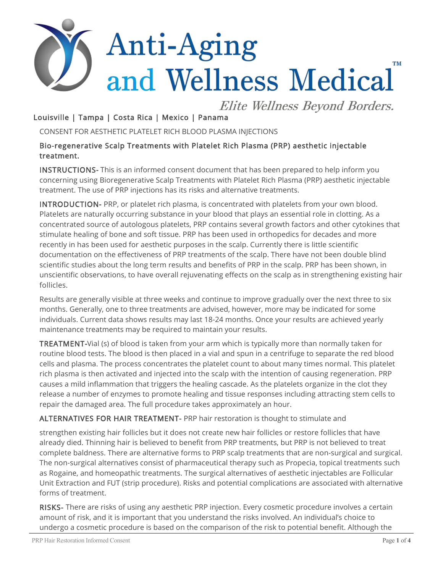# Anti-Aging **TM** and Wellness Medical

Elite Wellness Beyond Borders.

## Louisville | Tampa | Costa Rica | Mexico | Panama

CONSENT FOR AESTHETIC PLATELET RICH BLOOD PLASMA INJECTIONS

#### Bio-regenerative Scalp Treatments with Platelet Rich Plasma (PRP) aesthetic injectable treatment.

INSTRUCTIONS- This is an informed consent document that has been prepared to help inform you concerning using Bioregenerative Scalp Treatments with Platelet Rich Plasma (PRP) aesthetic injectable treatment. The use of PRP injections has its risks and alternative treatments.

INTRODUCTION- PRP, or platelet rich plasma, is concentrated with platelets from your own blood. Platelets are naturally occurring substance in your blood that plays an essential role in clotting. As a concentrated source of autologous platelets, PRP contains several growth factors and other cytokines that stimulate healing of bone and soft tissue. PRP has been used in orthopedics for decades and more recently in has been used for aesthetic purposes in the scalp. Currently there is little scientific documentation on the effectiveness of PRP treatments of the scalp. There have not been double blind scientific studies about the long term results and benefits of PRP in the scalp. PRP has been shown, in unscientific observations, to have overall rejuvenating effects on the scalp as in strengthening existing hair follicles.

Results are generally visible at three weeks and continue to improve gradually over the next three to six months. Generally, one to three treatments are advised, however, more may be indicated for some individuals. Current data shows results may last 18-24 months. Once your results are achieved yearly maintenance treatments may be required to maintain your results.

TREATMENT-Vial (s) of blood is taken from your arm which is typically more than normally taken for routine blood tests. The blood is then placed in a vial and spun in a centrifuge to separate the red blood cells and plasma. The process concentrates the platelet count to about many times normal. This platelet rich plasma is then activated and injected into the scalp with the intention of causing regeneration. PRP causes a mild inflammation that triggers the healing cascade. As the platelets organize in the clot they release a number of enzymes to promote healing and tissue responses including attracting stem cells to repair the damaged area. The full procedure takes approximately an hour.

#### ALTERNATIVES FOR HAIR TREATMENT- PRP hair restoration is thought to stimulate and

strengthen existing hair follicles but it does not create new hair follicles or restore follicles that have already died. Thinning hair is believed to benefit from PRP treatments, but PRP is not believed to treat complete baldness. There are alternative forms to PRP scalp treatments that are non-surgical and surgical. The non-surgical alternatives consist of pharmaceutical therapy such as Propecia, topical treatments such as Rogaine, and homeopathic treatments. The surgical alternatives of aesthetic injectables are Follicular Unit Extraction and FUT (strip procedure). Risks and potential complications are associated with alternative forms of treatment.

RISKS- There are risks of using any aesthetic PRP injection. Every cosmetic procedure involves a certain amount of risk, and it is important that you understand the risks involved. An individual's choice to undergo a cosmetic procedure is based on the comparison of the risk to potential benefit. Although the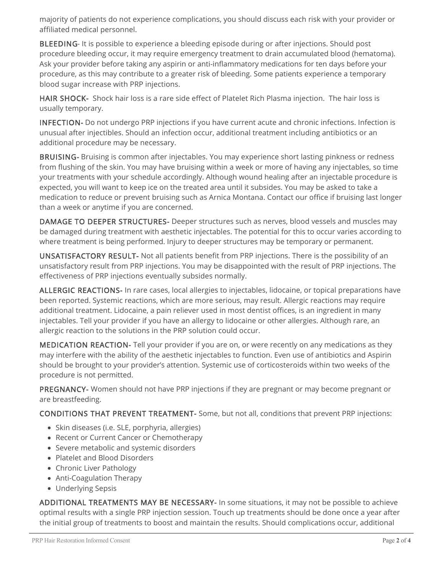majority of patients do not experience complications, you should discuss each risk with your provider or affiliated medical personnel.

BLEEDING- It is possible to experience a bleeding episode during or after injections. Should post procedure bleeding occur, it may require emergency treatment to drain accumulated blood (hematoma). Ask your provider before taking any aspirin or anti-inflammatory medications for ten days before your procedure, as this may contribute to a greater risk of bleeding. Some patients experience a temporary blood sugar increase with PRP injections.

HAIR SHOCK- Shock hair loss is a rare side effect of Platelet Rich Plasma injection. The hair loss is usually temporary.

INFECTION- Do not undergo PRP injections if you have current acute and chronic infections. Infection is unusual after injectibles. Should an infection occur, additional treatment including antibiotics or an additional procedure may be necessary.

BRUISING- Bruising is common after injectables. You may experience short lasting pinkness or redness from flushing of the skin. You may have bruising within a week or more of having any injectables, so time your treatments with your schedule accordingly. Although wound healing after an injectable procedure is expected, you will want to keep ice on the treated area until it subsides. You may be asked to take a medication to reduce or prevent bruising such as Arnica Montana. Contact our office if bruising last longer than a week or anytime if you are concerned.

DAMAGE TO DEEPER STRUCTURES- Deeper structures such as nerves, blood vessels and muscles may be damaged during treatment with aesthetic injectables. The potential for this to occur varies according to where treatment is being performed. Injury to deeper structures may be temporary or permanent.

UNSATISFACTORY RESULT- Not all patients benefit from PRP injections. There is the possibility of an unsatisfactory result from PRP injections. You may be disappointed with the result of PRP injections. The effectiveness of PRP injections eventually subsides normally.

ALLERGIC REACTIONS- In rare cases, local allergies to injectables, lidocaine, or topical preparations have been reported. Systemic reactions, which are more serious, may result. Allergic reactions may require additional treatment. Lidocaine, a pain reliever used in most dentist offices, is an ingredient in many injectables. Tell your provider if you have an allergy to lidocaine or other allergies. Although rare, an allergic reaction to the solutions in the PRP solution could occur.

MEDICATION REACTION- Tell your provider if you are on, or were recently on any medications as they may interfere with the ability of the aesthetic injectables to function. Even use of antibiotics and Aspirin should be brought to your provider's attention. Systemic use of corticosteroids within two weeks of the procedure is not permitted.

PREGNANCY- Women should not have PRP injections if they are pregnant or may become pregnant or are breastfeeding.

CONDITIONS THAT PREVENT TREATMENT- Some, but not all, conditions that prevent PRP injections:

- Skin diseases (i.e. SLE, porphyria, allergies)
- Recent or Current Cancer or Chemotherapy
- Severe metabolic and systemic disorders
- Platelet and Blood Disorders
- Chronic Liver Pathology
- Anti-Coagulation Therapy
- Underlying Sepsis

ADDITIONAL TREATMENTS MAY BE NECESSARY- In some situations, it may not be possible to achieve optimal results with a single PRP injection session. Touch up treatments should be done once a year after the initial group of treatments to boost and maintain the results. Should complications occur, additional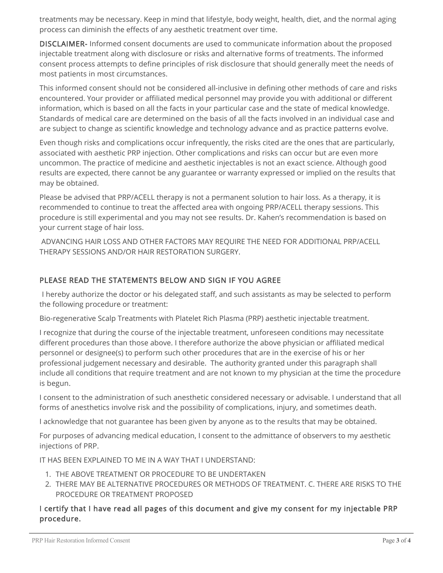treatments may be necessary. Keep in mind that lifestyle, body weight, health, diet, and the normal aging process can diminish the effects of any aesthetic treatment over time.

DISCLAIMER- Informed consent documents are used to communicate information about the proposed injectable treatment along with disclosure or risks and alternative forms of treatments. The informed consent process attempts to define principles of risk disclosure that should generally meet the needs of most patients in most circumstances.

This informed consent should not be considered all-inclusive in defining other methods of care and risks encountered. Your provider or affiliated medical personnel may provide you with additional or different information, which is based on all the facts in your particular case and the state of medical knowledge. Standards of medical care are determined on the basis of all the facts involved in an individual case and are subject to change as scientific knowledge and technology advance and as practice patterns evolve.

Even though risks and complications occur infrequently, the risks cited are the ones that are particularly, associated with aesthetic PRP injection. Other complications and risks can occur but are even more uncommon. The practice of medicine and aesthetic injectables is not an exact science. Although good results are expected, there cannot be any guarantee or warranty expressed or implied on the results that may be obtained.

Please be advised that PRP/ACELL therapy is not a permanent solution to hair loss. As a therapy, it is recommended to continue to treat the affected area with ongoing PRP/ACELL therapy sessions. This procedure is still experimental and you may not see results. Dr. Kahen's recommendation is based on your current stage of hair loss.

 ADVANCING HAIR LOSS AND OTHER FACTORS MAY REQUIRE THE NEED FOR ADDITIONAL PRP/ACELL THERAPY SESSIONS AND/OR HAIR RESTORATION SURGERY.

### PLEASE READ THE STATEMENTS BELOW AND SIGN IF YOU AGREE

 I hereby authorize the doctor or his delegated staff, and such assistants as may be selected to perform the following procedure or treatment:

Bio-regenerative Scalp Treatments with Platelet Rich Plasma (PRP) aesthetic injectable treatment.

I recognize that during the course of the injectable treatment, unforeseen conditions may necessitate different procedures than those above. I therefore authorize the above physician or affiliated medical personnel or designee(s) to perform such other procedures that are in the exercise of his or her professional judgement necessary and desirable. The authority granted under this paragraph shall include all conditions that require treatment and are not known to my physician at the time the procedure is begun.

I consent to the administration of such anesthetic considered necessary or advisable. I understand that all forms of anesthetics involve risk and the possibility of complications, injury, and sometimes death.

I acknowledge that not guarantee has been given by anyone as to the results that may be obtained.

For purposes of advancing medical education, I consent to the admittance of observers to my aesthetic injections of PRP.

IT HAS BEEN EXPLAINED TO ME IN A WAY THAT I UNDERSTAND:

- 1. THE ABOVE TREATMENT OR PROCEDURE TO BE UNDERTAKEN
- 2. THERE MAY BE ALTERNATIVE PROCEDURES OR METHODS OF TREATMENT. C. THERE ARE RISKS TO THE PROCEDURE OR TREATMENT PROPOSED

#### I certify that I have read all pages of this document and give my consent for my injectable PRP procedure.